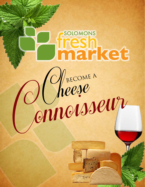# SOLOMONS tresh<br>market *Cheese*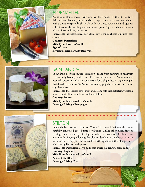

#### **APPENZELLER**

An ancient alpine cheese, with origins likely dating to the 6th century. With a flavor that's anything but dated, expect a sweet and creamy richness with a uniquely spicy finish. Made with raw Swiss cow's milk and aged for at least five weeks, yielding a smooth, firm paste. A perfect choice for some of your favorite fruity red wines.

Ingredients: Unpasteurized part-skim cow's milk, cheese cultures, salt, enzmees.

**Country: Switzerland Milk Type: Raw cow's milk Age: 60 days Beverage Pairing: Fruity Red Wine**



#### **SAINT ANDRE**

St. Andre is a soft-riped, tripe crème brie made from pasteurized milk with a beautifully bloomy white rind. Rich and decadent, St. Andre tastes of heavenly cream mixed with sour cream for a slight lactic tang among all that decadent richness. St. Andre is extremely populare and will be a hit on any cheeseboard.

Ingredients: Pasteurized cow's milk and cream, salt, lactic starters, vegetable rennet, penicillium candidum and geotrichum

**Country: France Milk Type: Pasteurized cow's milk Beverage Pairing: Champagne**



#### **STILTON**

England's best known "King of Cheese" is ripened 3-4 months under carefully controlled cool, humid conditions. Unlike other blues, Stilton's veining comes about by piercing the wheel as many as 300 times after one month of aging, allowing the blue to develop in the cheese with the introduction of oxygen. The minerally, earthy qualities if this blue pair well with Tawny Port or fresh pears.

Ingredients: Pasteurized cow's milk, salt, microbial rennet, dairy cultures. **Country: England Milk Type: Pasteurized cow's milk**

**Age: 3-4 months Beverage Pairing: Port**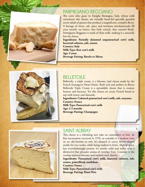

#### **PARMIGIANO REGGIANO**

The cows who graze in Emiglia Romagna, Italy, whose milk constitutes this cheese, are virtually hand-fed specially guarded secret salads of grasses that produce a magnificent, complex flavor. A barrage of sweet, salt, spice and nuttiness simultaneously fill your mouth: tat butter, that little crunch, that caramel finish. Parmigiano Reggiano is made of skim milk, making it a naturally low-fat cheese.

**Ingredients: Partially skimmed unpasteurized cow's milk, bacterial cultures, salt, rennet.**

**Country: Italy Milk Type: Raw cow's milk Age: 2 years Beverage Pairing: Barolo or Shiraz**



#### **BELLETOILE**

Belletoile, a triple cream, is a bloomy rind cheese made by the French fromagerie Henri Hutin. Both rich and mellow in flavor, Belletoile Triple Cream is a spreadable cheese that is creamy, buttery and luscious. Try this cheese on crusty French bread or top with honey and almonds.

**Ingredients: Cultured pasteurized cow's milk, salt, enzymes. Country: France**

**Milk Type: Pasteurized cow's milk Age: 2-3 months Beverage Pairing: Champagne**



#### **SAINT ALBRAY**

This cheese is a refreshing new take on camembert or brie. Its first incarnation occurred in 1976, so consider it a modern twist on an old favorite or two. It's drained in curvy, flower-shaped molds for two weeks, while being washed in brine. Slightly spicy, but overwhelmingly creamy, it's mostly mild and milky with a distinctive but pleasant aroma of overripe fruit. Consider it the overlap between bloomy and washed-rind cheeses.

**Ingredients: Pasteurized cow's milk, bacterial cultures, salt, rennet, penicillium candidum.**

**Country: France Milk Type: Pasteurized cow's milk Beverage Pairing: Pinot Noir**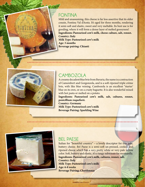#### **FONTINA**

Mild and unassuming, this cheese is far less assertive that its older cousin, Fontina Val d'Aosta. It's aged for three months, rendering it semi-soft and elastic, sweet and very meltable. Its best use is for gooding, where it will form a dense layer of melted gooeyness! **Ingredients: Pasteurized cow's milk, cheese culture, salt, rennet. Country: Italy**

**Milk Type: Pasteurized cow's milk Age: 3 months Beverage pairing: Chianti**



# **CAMBOZOLA**

A creamy decadent blue brie from Bavaria, the name is a contraction of Camembert and Gorgonzola, and is a soft-ripened triple crème brie, with like blue veining. Cambozola is an excellent "starter' blue on its own, or on a crusty baguette. It is also wonderful mixed with hot pasta or melted on a potato.

**Ingredients: Pasteurized cow's milk, salt, cultures, rennet, penicillium roqueforti. Country: Germany**

**Milk Type: Pasteurized cow's milk Beverage Pairing: Sparkling Wine**



## **BEL PAESE**

Italian for "beautiful country" – a lovely descriptor for this pale, buttery cheese. Bel Paese is a semi-soft un-pressed, cooked and ripened cheese which has a very pretty white or very pale yellow color. Soft, buttery and elastic, it's a tangy substitute for mozzarella. **Ingredients: Pasteurized cow's milk, cultures, rennet, salt. Country: Italy**

**Milk Type: Pasteurized cow's milk Age: 6-8 weeks Beverage Pairing: Chardonnay**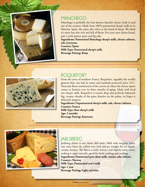

#### **MANCHEGO**

Manchego is probably the best known Spanish cheese, both in and out of the country. Made from 100% pasteurized sheep's milk in La Mancha, Spain, the name also refers to the breed of sheep. We think it's sweet but also rich and full of flavor. For your next cheese board, pair it with quince paste and fig cake.

**Ingredients: Pasteurized Manchega sheep's milk, cheese cultures, salt, lysozyme.**

**Country: Spain Milk Type: Pasteurized sheep's milk Beverage Pairing: Rioja**



## **ROQUEFORT**

From the caves of southern France, Roquefort, arguably the world's greatest blue, has had its name and methods protected since 1411. Heavenly flavor reminiscent of the cavern air where the cheese ripens comes to fruition over its three months of aging. Made with local raw sheep's milk, Roquefort is round, deep and perfectly balanced: big, creamy chunks of the paste dissolve on the palate, its linger is delicately peppery.

**Ingredients: Unpasteurized sheep's milk, salt, cheese cultures. Country: France Milk Type: Raw sheep's milk Age: 3 months Beverage Pairing: Sauternes**



#### **JARLSBERG**

Jarlsberg cheese is our classic deli swiss. Mild with irregular holes, stay away from the yellow-wax rind and go straight for its supple, creamy interior. The flavor is mild, buttery and slightly nutty-sweet, making it super versatile, good for both cooking and noshing. **Ingredients: Pasteurized part-skim milk, rennet, salt, culture. Country: Norway Milk Type: Pasteurized cow's milk Age: 1 year Beverage Pairing: Light red wine**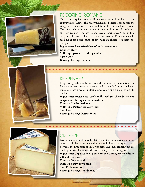

#### **PECORINO ROMANO**

One of the very few Pecorino Romano cheeses still produced in the countryside of Rome. This hearty full flavored cheese is produce in the village of Nepi, using the finest milk from sheep in the Lazio region. The milk, rich in fat and protein, is selected from small producers, analyzed regularly and has no additives or hormones. Aged up to a year, Fulvi is never as hard or dry as the Pecorino Romano made in Sardinia. It has a bold, pungent flavor and is a cheese to be eaten, not just grated.

**Ingredients: Pasteurized sheep's' milk, rennet, salt. Country: Italy Milk Type: pasteurized sheep's milk Age: 1 year Beverage Pairing: Barbera**



#### **REYPENAER**

Reypenaer gouda stands out from all the rest. Reypenaer is a true Dutch gourmet cheese, handmade, and tastes of of butterscotch and caramel. It has a beautiful deep amber color, and a slight crunch to the bite.

**Ingredients: Pasteurized cow's milk, sodium chloride, starter, coagulant, coloring matter (annatto). Country: The Netherlands Milk Type: Pasteurized cow's milk Age: 1 year Beverage Pairing: Dessert Wine**



## **GRUYERE**

Raw, whole cow's milk aged for 12-14 months produces an enormous wheel that is dense, creamy and immense in flavor. Fruity sharpness pervades the firm paste of this Swiss gem. The small crunchy bits are the beginnings of amino acid clusters, a sign of patient aging. **Ingredients: Unpasteurized part-skim cow's milk, cheese culture, salt and enzymes. Country: Switzerland**

**Milk Type: Raw cow's milk Age: 12-14 months Beverage Pairing: Chardonnay**